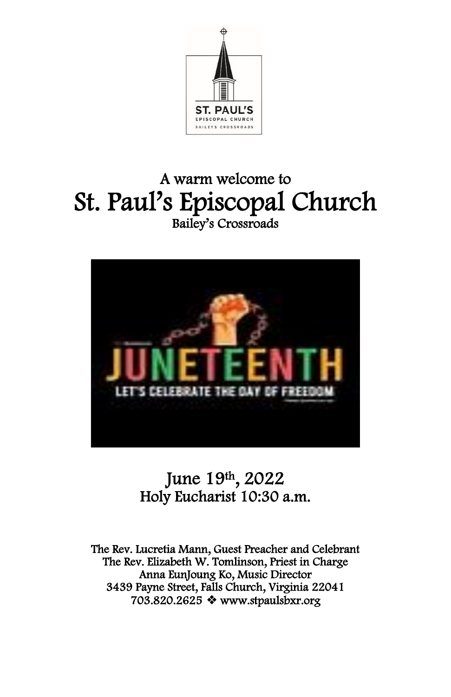

# A warm welcome to St. Paul's Episcopal Church Bailey's Crossroads



# June 19th, 2022 Holy Eucharist 10:30 a.m.

The Rev. Lucretia Mann, Guest Preacher and Celebrant The Rev. Elizabeth W. Tomlinson, Priest in Charge Anna EunJoung Ko, Music Director 3439 Payne Street, Falls Church, Virginia 22041 703.820.2625 ❖ [www.stpaulsbxr.org](http://www.stpaulsbxr.org/)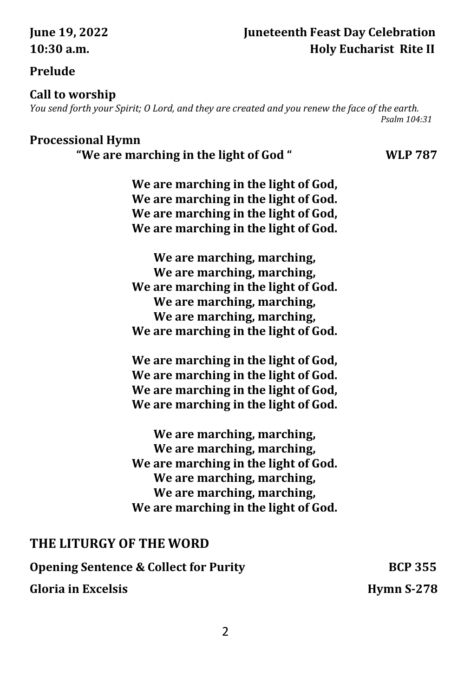### **June 19, 2022 Juneteenth Feast Day Celebration 10:30 a.m. Holy Eucharist Rite II**

#### **Prelude**

#### **Call to worship**

*You send forth your Spirit; O Lord, and they are created and you renew the face of the earth. Psalm 104:31*

#### **Processional Hymn**

 **"We are marching in the light of God " WLP 787**

**We are marching in the light of God, We are marching in the light of God. We are marching in the light of God, We are marching in the light of God.**

**We are marching, marching, We are marching, marching, We are marching in the light of God. We are marching, marching, We are marching, marching, We are marching in the light of God.**

**We are marching in the light of God, We are marching in the light of God. We are marching in the light of God, We are marching in the light of God.**

**We are marching, marching, We are marching, marching, We are marching in the light of God. We are marching, marching, We are marching, marching, We are marching in the light of God.**

### **THE LITURGY OF THE WORD**

**Opening Sentence & Collect for Purity France BCP 355** 

#### **Gloria in Excelsis Hymn S-278**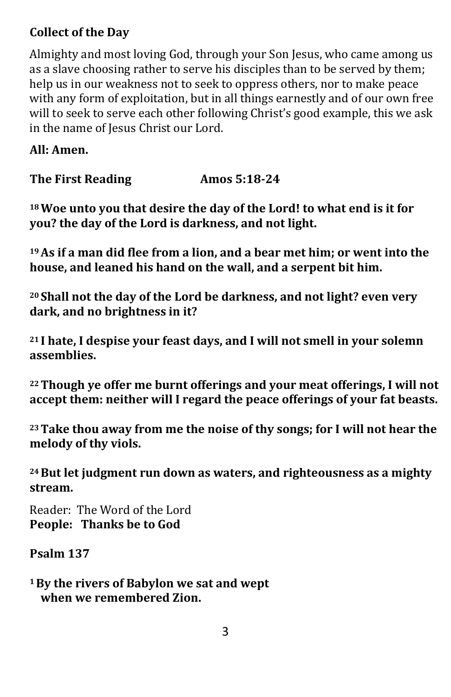## **Collect of the Day**

Almighty and most loving God, through your Son Jesus, who came among us as a slave choosing rather to serve his disciples than to be served by them; help us in our weakness not to seek to oppress others, nor to make peace with any form of exploitation, but in all things earnestly and of our own free will to seek to serve each other following Christ's good example, this we ask in the name of Jesus Christ our Lord.

**All: Amen.**

**The First Reading Amos 5:18-24**

**<sup>18</sup>Woe unto you that desire the day of the Lord! to what end is it for you? the day of the Lord is darkness, and not light.**

**<sup>19</sup>As if a man did flee from a lion, and a bear met him; or went into the house, and leaned his hand on the wall, and a serpent bit him.**

**<sup>20</sup> Shall not the day of the Lord be darkness, and not light? even very dark, and no brightness in it?**

**<sup>21</sup> I hate, I despise your feast days, and I will not smell in your solemn assemblies.**

**<sup>22</sup>Though ye offer me burnt offerings and your meat offerings, I will not accept them: neither will I regard the peace offerings of your fat beasts.**

**<sup>23</sup>Take thou away from me the noise of thy songs; for I will not hear the melody of thy viols.**

**<sup>24</sup>But let judgment run down as waters, and righteousness as a mighty stream.**

Reader: The Word of the Lord **People: Thanks be to God**

**Psalm 137**

**<sup>1</sup>By the rivers of Babylon we sat and wept when we remembered Zion.**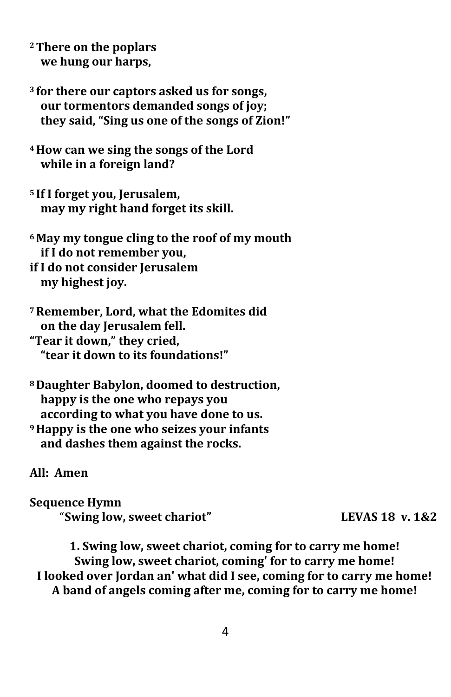- **<sup>2</sup>There on the poplars we hung our harps,**
- **<sup>3</sup> for there our captors asked us for songs, our tormentors demanded songs of joy; they said, "Sing us one of the songs of Zion!"**
- **<sup>4</sup>How can we sing the songs of the Lord while in a foreign land?**
- **<sup>5</sup> If I forget you, Jerusalem, may my right hand forget its skill.**
- **<sup>6</sup>May my tongue cling to the roof of my mouth if I do not remember you,**

**if I do not consider Jerusalem my highest joy.**

- **<sup>7</sup>Remember, Lord, what the Edomites did on the day Jerusalem fell. "Tear it down," they cried, "tear it down to its foundations!"**
- **<sup>8</sup>Daughter Babylon, doomed to destruction, happy is the one who repays you according to what you have done to us. <sup>9</sup>Happy is the one who seizes your infants and dashes them against the rocks.**

**All: Amen**

**Sequence Hymn**  "**Swing low, sweet chariot" LEVAS 18 v. 1&2**

**1. Swing low, sweet chariot, coming for to carry me home! Swing low, sweet chariot, coming' for to carry me home! I looked over Jordan an' what did I see, coming for to carry me home! A band of angels coming after me, coming for to carry me home!**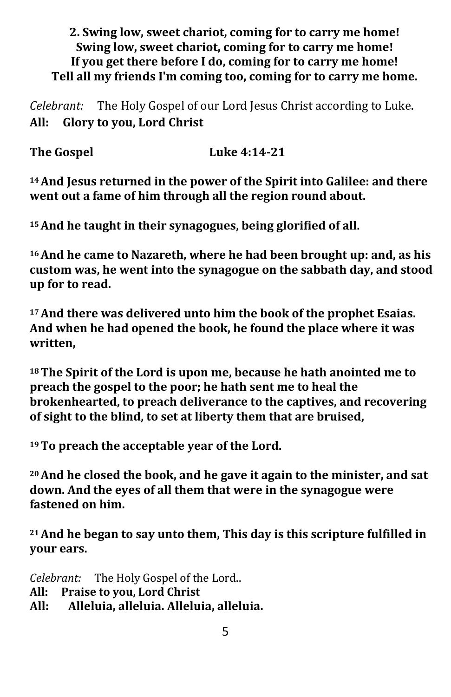#### **2. Swing low, sweet chariot, coming for to carry me home! Swing low, sweet chariot, coming for to carry me home! If you get there before I do, coming for to carry me home! Tell all my friends I'm coming too, coming for to carry me home.**

*Celebrant:* The Holy Gospel of our Lord Jesus Christ according to Luke. **All: Glory to you, Lord Christ**

The Gospel Luke 4:14-21

**<sup>14</sup>And Jesus returned in the power of the Spirit into Galilee: and there went out a fame of him through all the region round about.**

**<sup>15</sup>And he taught in their synagogues, being glorified of all.**

**<sup>16</sup>And he came to Nazareth, where he had been brought up: and, as his custom was, he went into the synagogue on the sabbath day, and stood up for to read.**

**<sup>17</sup>And there was delivered unto him the book of the prophet Esaias. And when he had opened the book, he found the place where it was written,**

**<sup>18</sup>The Spirit of the Lord is upon me, because he hath anointed me to preach the gospel to the poor; he hath sent me to heal the brokenhearted, to preach deliverance to the captives, and recovering of sight to the blind, to set at liberty them that are bruised,**

**<sup>19</sup>To preach the acceptable year of the Lord.**

**<sup>20</sup>And he closed the book, and he gave it again to the minister, and sat down. And the eyes of all them that were in the synagogue were fastened on him.**

**<sup>21</sup>And he began to say unto them, This day is this scripture fulfilled in your ears.**

*Celebrant:* The Holy Gospel of the Lord..

- **All: Praise to you, Lord Christ**
- **All: Alleluia, alleluia. Alleluia, alleluia.**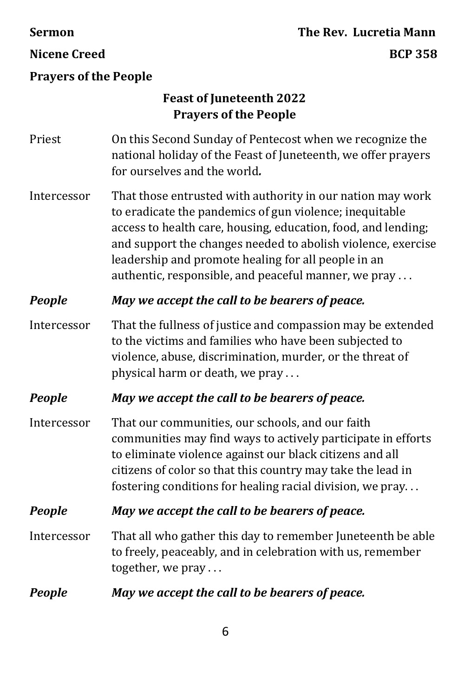# **Sermon The Rev. Lucretia Mann Nicene Creed BCP 358**

#### **Prayers of the People**

### **Feast of Juneteenth 2022 Prayers of the People**

- Priest On this Second Sunday of Pentecost when we recognize the national holiday of the Feast of Juneteenth, we offer prayers for ourselves and the world*.*
- Intercessor That those entrusted with authority in our nation may work to eradicate the pandemics of gun violence; inequitable access to health care, housing, education, food, and lending; and support the changes needed to abolish violence, exercise leadership and promote healing for all people in an authentic, responsible, and peaceful manner, we pray . . .

#### *People May we accept the call to be bearers of peace.*

Intercessor That the fullness of justice and compassion may be extended to the victims and families who have been subjected to violence, abuse, discrimination, murder, or the threat of physical harm or death, we pray . . .

#### *People May we accept the call to be bearers of peace.*

Intercessor That our communities, our schools, and our faith communities may find ways to actively participate in efforts to eliminate violence against our black citizens and all citizens of color so that this country may take the lead in fostering conditions for healing racial division, we pray. . .

#### *People May we accept the call to be bearers of peace.*

- Intercessor That all who gather this day to remember Juneteenth be able to freely, peaceably, and in celebration with us, remember together, we pray . . .
- *People May we accept the call to be bearers of peace.*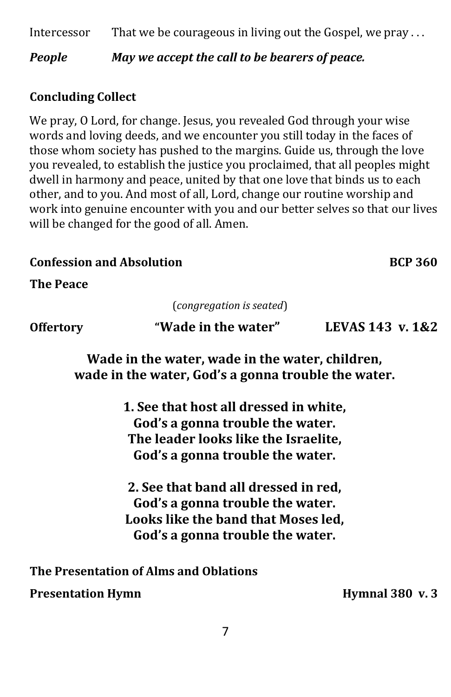Intercessor That we be courageous in living out the Gospel, we pray ...

*People May we accept the call to be bearers of peace.* 

## **Concluding Collect**

We pray, O Lord, for change. Jesus, you revealed God through your wise words and loving deeds, and we encounter you still today in the faces of those whom society has pushed to the margins. Guide us, through the love you revealed, to establish the justice you proclaimed, that all peoples might dwell in harmony and peace, united by that one love that binds us to each other, and to you. And most of all, Lord, change our routine worship and work into genuine encounter with you and our better selves so that our lives will be changed for the good of all. Amen.

### **Confession and Absolution Confession and Absolution**

**The Peace**  Ĭ

(*congregation is seated*)

**Offertory "Wade in the water" LEVAS 143 v. 1&2**

**Wade in the water, wade in the water, children, wade in the water, God's a gonna trouble the water.**

> **1. See that host all dressed in white, God's a gonna trouble the water. The leader looks like the Israelite, God's a gonna trouble the water.**

**2. See that band all dressed in red, God's a gonna trouble the water. Looks like the band that Moses led, God's a gonna trouble the water.**

**The Presentation of Alms and Oblations**

**Presentation Hymn hymnal 380 v. 3**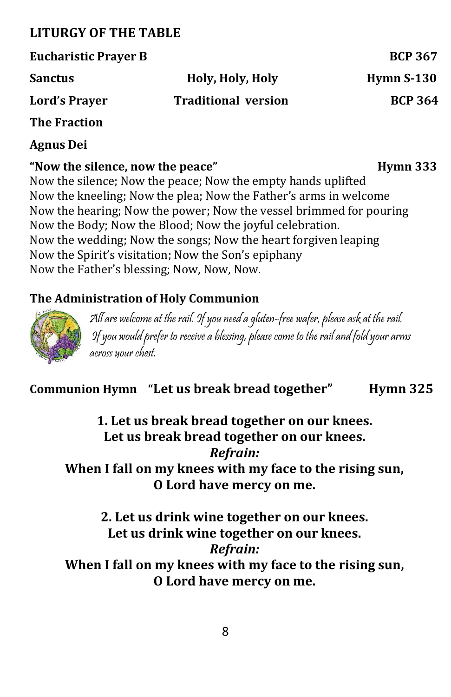# **LITURGY OF THE TABLE**

| <b>Eucharistic Prayer B</b> |                            | <b>BCP 367</b> |
|-----------------------------|----------------------------|----------------|
| <b>Sanctus</b>              | Holy, Holy, Holy           | Hymn $S-130$   |
| <b>Lord's Prayer</b>        | <b>Traditional version</b> | <b>BCP 364</b> |
| <b>The Fraction</b>         |                            |                |
| <b>Agnus Dei</b>            |                            |                |

**"Now the silence, now the peace" Hymn 333** Now the silence; Now the peace; Now the empty hands uplifted Now the kneeling; Now the plea; Now the Father's arms in welcome Now the hearing; Now the power; Now the vessel brimmed for pouring Now the Body; Now the Blood; Now the joyful celebration. Now the wedding; Now the songs; Now the heart forgiven leaping Now the Spirit's visitation; Now the Son's epiphany Now the Father's blessing; Now, Now, Now.

# **The Administration of Holy Communion**



 All are welcome at the rail. If you need a gluten-free wafer, please ask at the rail. If you would prefer to receive a blessing, please come to the railand fold your arms across your chest.

# **Communion Hymn "Let us break bread together" Hymn 325**

**1. Let us break bread together on our knees. Let us break bread together on our knees.** *Refrain:* **When I fall on my knees with my face to the rising sun, O Lord have mercy on me.**

**2. Let us drink wine together on our knees. Let us drink wine together on our knees.**  *Refrain:* **When I fall on my knees with my face to the rising sun, O Lord have mercy on me.**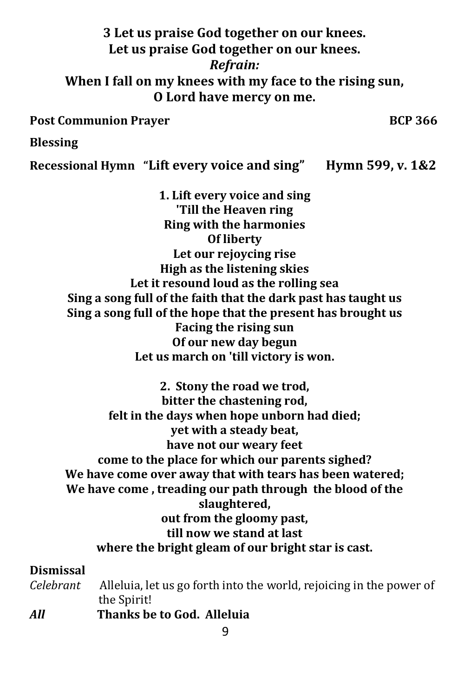# **3 Let us praise God together on our knees. Let us praise God together on our knees.**  *Refrain:* **When I fall on my knees with my face to the rising sun, O Lord have mercy on me.**

Post Communion Prayer BCP 366

#### **Blessing**

**Recessional Hymn "Lift every voice and sing" Hymn 599, v. 1&2**

**1. Lift every voice and sing 'Till the Heaven ring Ring with the harmonies Of liberty Let our rejoycing rise High as the listening skies Let it resound loud as the rolling sea Sing a song full of the faith that the dark past has taught us Sing a song full of the hope that the present has brought us Facing the rising sun Of our new day begun Let us march on 'till victory is won.**

**2. Stony the road we trod, bitter the chastening rod, felt in the days when hope unborn had died; yet with a steady beat, have not our weary feet come to the place for which our parents sighed? We have come over away that with tears has been watered; We have come , treading our path through the blood of the slaughtered, out from the gloomy past, till now we stand at last where the bright gleam of our bright star is cast.**

#### **Dismissal**

- *Celebrant* Alleluia, let us go forth into the world, rejoicing in the power of the Spirit!
- *All* **Thanks be to God. Alleluia**

9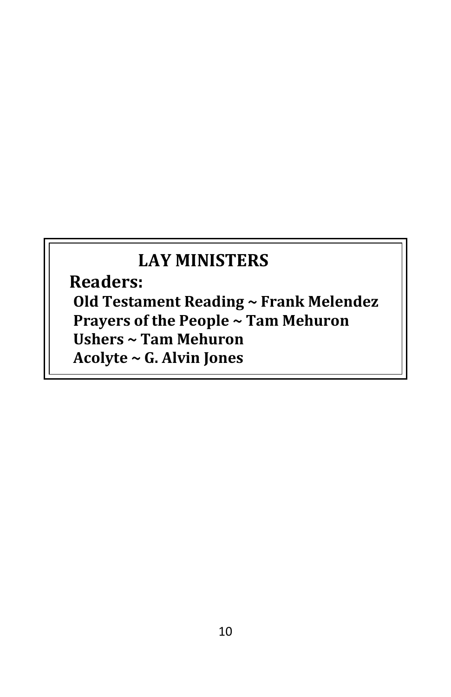# **LAY MINISTERS**

 **Readers: Old Testament Reading ~ Frank Melendez Prayers of the People ~ Tam Mehuron Ushers ~ Tam Mehuron Acolyte ~ G. Alvin Jones**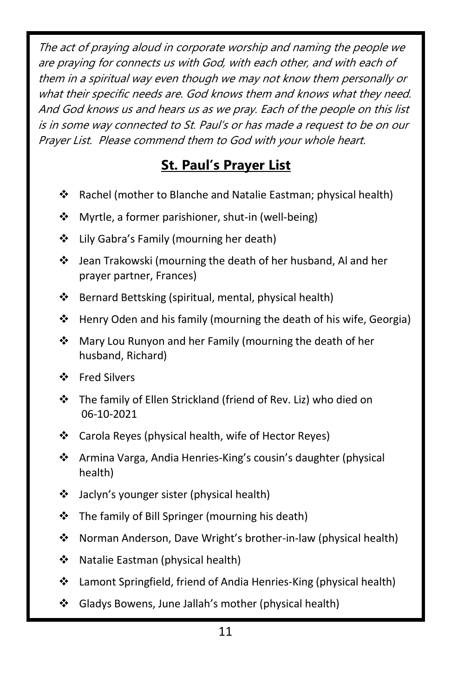The act of praying aloud in corporate worship and naming the people we are praying for connects us with God, with each other, and with each of them in a spiritual way even though we may not know them personally or what their specific needs are. God knows them and knows what they need. And God knows us and hears us as we pray. Each of the people on this list is in some way connected to St. Paul's or has made a request to be on our Prayer List. Please commend them to God with your whole heart.

# **St. Paul's Prayer List**

- ❖ Rachel (mother to Blanche and Natalie Eastman; physical health)
- ❖ Myrtle, a former parishioner, shut-in (well-being)
- ❖ Lily Gabra's Family (mourning her death)
- ❖ Jean Trakowski (mourning the death of her husband, Al and her prayer partner, Frances)
- ❖ Bernard Bettsking (spiritual, mental, physical health)
- ❖ Henry Oden and his family (mourning the death of his wife, Georgia)
- ❖ Mary Lou Runyon and her Family (mourning the death of her husband, Richard)
- ❖ Fred Silvers
- ❖ The family of Ellen Strickland (friend of Rev. Liz) who died on 06-10-2021
- ❖ Carola Reyes (physical health, wife of Hector Reyes)
- ❖ Armina Varga, Andia Henries-King's cousin's daughter (physical health)
- ❖ Jaclyn's younger sister (physical health)
- ❖ The family of Bill Springer (mourning his death)
- ❖ Norman Anderson, Dave Wright's brother-in-law (physical health)
- ❖ Natalie Eastman (physical health)
- ❖ Lamont Springfield, friend of Andia Henries-King (physical health)
- ❖ Gladys Bowens, June Jallah's mother (physical health)